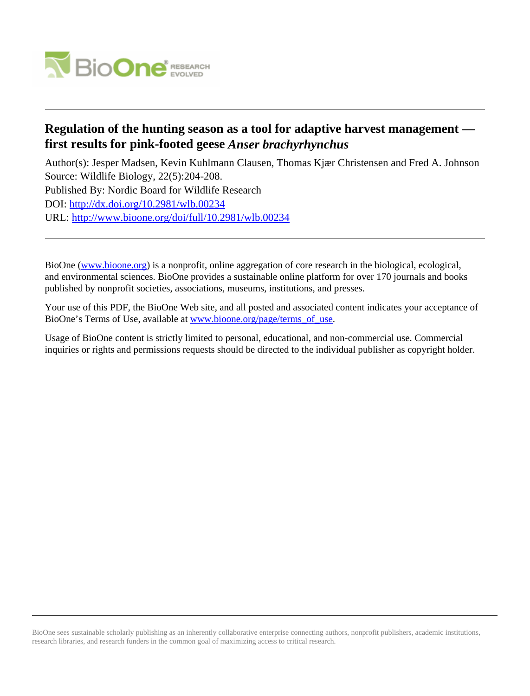

## **Regulation of the hunting season as a tool for adaptive harvest management first results for pink-footed geese** *Anser brachyrhynchus*

Author(s): Jesper Madsen, Kevin Kuhlmann Clausen, Thomas Kjær Christensen and Fred A. Johnson Source: Wildlife Biology, 22(5):204-208. Published By: Nordic Board for Wildlife Research DOI:<http://dx.doi.org/10.2981/wlb.00234> URL: <http://www.bioone.org/doi/full/10.2981/wlb.00234>

BioOne [\(www.bioone.org\)](http://www.bioone.org) is a nonprofit, online aggregation of core research in the biological, ecological, and environmental sciences. BioOne provides a sustainable online platform for over 170 journals and books published by nonprofit societies, associations, museums, institutions, and presses.

Your use of this PDF, the BioOne Web site, and all posted and associated content indicates your acceptance of BioOne's Terms of Use, available at [www.bioone.org/page/terms\\_of\\_use.](http://www.bioone.org/page/terms_of_use)

Usage of BioOne content is strictly limited to personal, educational, and non-commercial use. Commercial inquiries or rights and permissions requests should be directed to the individual publisher as copyright holder.

BioOne sees sustainable scholarly publishing as an inherently collaborative enterprise connecting authors, nonprofit publishers, academic institutions, research libraries, and research funders in the common goal of maximizing access to critical research.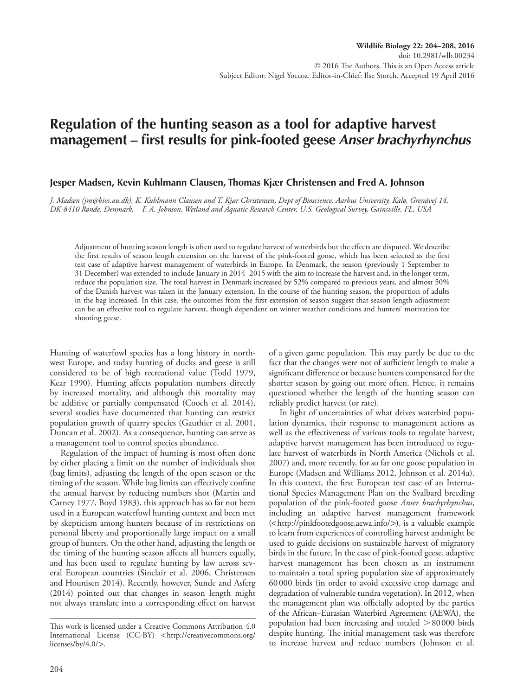# **Regulation of the hunting season as a tool for adaptive harvest management – first results for pink-footed geese** *Anser brachyrhynchus*

#### **Jesper Madsen, Kevin Kuhlmann Clausen, Thomas Kjær Christensen and Fred A. Johnson**

*J. Madsen (jm@bios.au.dk), K. Kuhlmann Clausen and T. Kjær Christensen, Dept of Bioscience, Aarhus University, Kalø, Grenåvej 14, DK-8410 Rønde, Denmark. – F. A. Johnson, Wetland and Aquatic Research Center, U.S. Geological Survey, Gainsville, FL, USA*

Adjustment of hunting season length is often used to regulate harvest of waterbirds but the effects are disputed. We describe the first results of season length extension on the harvest of the pink-footed goose, which has been selected as the first test case of adaptive harvest management of waterbirds in Europe. In Denmark, the season (previously 1 September to 31 December) was extended to include January in 2014–2015 with the aim to increase the harvest and, in the longer term, reduce the population size. The total harvest in Denmark increased by 52% compared to previous years, and almost 50% of the Danish harvest was taken in the January extension. In the course of the hunting season, the proportion of adults in the bag increased. In this case, the outcomes from the first extension of season suggest that season length adjustment can be an effective tool to regulate harvest, though dependent on winter weather conditions and hunters' motivation for shooting geese.

Hunting of waterfowl species has a long history in northwest Europe, and today hunting of ducks and geese is still considered to be of high recreational value (Todd 1979, Kear 1990). Hunting affects population numbers directly by increased mortality, and although this mortality may be additive or partially compensated (Cooch et al. 2014), several studies have documented that hunting can restrict population growth of quarry species (Gauthier et al. 2001, Duncan et al. 2002). As a consequence, hunting can serve as a management tool to control species abundance.

Regulation of the impact of hunting is most often done by either placing a limit on the number of individuals shot (bag limits), adjusting the length of the open season or the timing of the season. While bag limits can effectively confine the annual harvest by reducing numbers shot (Martin and Carney 1977, Boyd 1983), this approach has so far not been used in a European waterfowl hunting context and been met by skepticism among hunters because of its restrictions on personal liberty and proportionally large impact on a small group of hunters. On the other hand, adjusting the length or the timing of the hunting season affects all hunters equally, and has been used to regulate hunting by law across several European countries (Sinclair et al. 2006, Christensen and Hounisen 2014). Recently, however, Sunde and Asferg (2014) pointed out that changes in season length might not always translate into a corresponding effect on harvest

of a given game population. This may partly be due to the fact that the changes were not of sufficient length to make a significant difference or because hunters compensated for the shorter season by going out more often. Hence, it remains questioned whether the length of the hunting season can reliably predict harvest (or rate).

In light of uncertainties of what drives waterbird population dynamics, their response to management actions as well as the effectiveness of various tools to regulate harvest, adaptive harvest management has been introduced to regulate harvest of waterbirds in North America (Nichols et al. 2007) and, more recently, for so far one goose population in Europe (Madsen and Williams 2012, Johnson et al. 2014a). In this context, the first European test case of an International Species Management Plan on the Svalbard breeding population of the pink-footed goose *Anser brachyrhynchus*, including an adaptive harvest management framework (<http://pinkfootedgoose.aewa.info/>), is a valuable example to learn from experiences of controlling harvest andmight be used to guide decisions on sustainable harvest of migratory birds in the future. In the case of pink-footed geese, adaptive harvest management has been chosen as an instrument to maintain a total spring population size of approximately 60000 birds (in order to avoid excessive crop damage and degradation of vulnerable tundra vegetation). In 2012, when the management plan was officially adopted by the parties of the African–Eurasian Waterbird Agreement (AEWA), the population had been increasing and totaled  $>80000$  birds despite hunting. The initial management task was therefore to increase harvest and reduce numbers (Johnson et al.

This work is licensed under a Creative Commons Attribution 4.0 International License (CC-BY) < http://creativecommons.org/ licenses/by/4.0/>.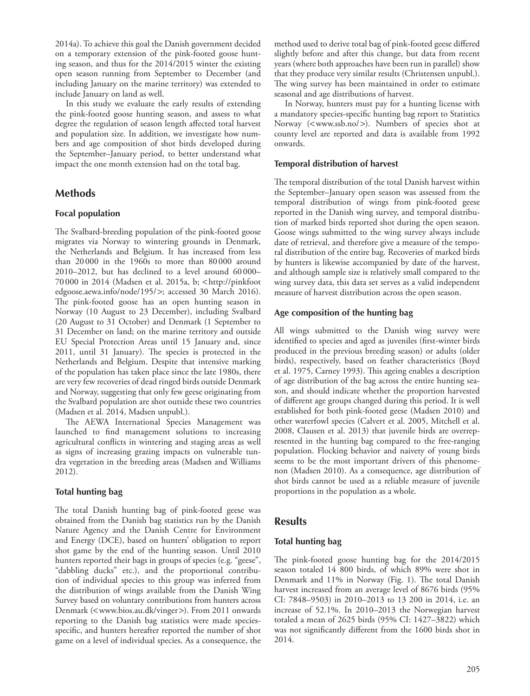2014a). To achieve this goal the Danish government decided on a temporary extension of the pink-footed goose hunting season, and thus for the 2014/2015 winter the existing open season running from September to December (and including January on the marine territory) was extended to include January on land as well.

In this study we evaluate the early results of extending the pink-footed goose hunting season, and assess to what degree the regulation of season length affected total harvest and population size. In addition, we investigate how numbers and age composition of shot birds developed during the September–January period, to better understand what impact the one month extension had on the total bag.

## **Methods**

#### **Focal population**

The Svalbard-breeding population of the pink-footed goose migrates via Norway to wintering grounds in Denmark, the Netherlands and Belgium. It has increased from less than 20000 in the 1960s to more than 80 000 around 2010–2012, but has declined to a level around 60 000– 70 000 in 2014 (Madsen et al. 2015a, b; <http://pinkfoot edgoose.aewa.info/node/195/>; accessed 30 March 2016). The pink-footed goose has an open hunting season in Norway (10 August to 23 December), including Svalbard (20 August to 31 October) and Denmark (1 September to 31 December on land; on the marine territory and outside EU Special Protection Areas until 15 January and, since 2011, until 31 January). The species is protected in the Netherlands and Belgium. Despite that intensive marking of the population has taken place since the late 1980s, there are very few recoveries of dead ringed birds outside Denmark and Norway, suggesting that only few geese originating from the Svalbard population are shot outside these two countries (Madsen et al. 2014, Madsen unpubl.).

The AEWA International Species Management was launched to find management solutions to increasing agricultural conflicts in wintering and staging areas as well as signs of increasing grazing impacts on vulnerable tundra vegetation in the breeding areas (Madsen and Williams 2012).

#### **Total hunting bag**

The total Danish hunting bag of pink-footed geese was obtained from the Danish bag statistics run by the Danish Nature Agency and the Danish Centre for Environment and Energy (DCE), based on hunters' obligation to report shot game by the end of the hunting season. Until 2010 hunters reported their bags in groups of species (e.g. "geese", "dabbling ducks" etc.), and the proportional contribution of individual species to this group was inferred from the distribution of wings available from the Danish Wing Survey based on voluntary contributions from hunters across Denmark (<www.bios.au.dk/vinger>). From 2011 onwards reporting to the Danish bag statistics were made speciesspecific, and hunters hereafter reported the number of shot game on a level of individual species. As a consequence, the method used to derive total bag of pink-footed geese differed slightly before and after this change, but data from recent years (where both approaches have been run in parallel) show that they produce very similar results (Christensen unpubl.). The wing survey has been maintained in order to estimate seasonal and age distributions of harvest.

In Norway, hunters must pay for a hunting license with a mandatory species-specific hunting bag report to Statistics Norway (<www.ssb.no/>). Numbers of species shot at county level are reported and data is available from 1992 onwards.

#### **Temporal distribution of harvest**

The temporal distribution of the total Danish harvest within the September–January open season was assessed from the temporal distribution of wings from pink-footed geese reported in the Danish wing survey, and temporal distribution of marked birds reported shot during the open season. Goose wings submitted to the wing survey always include date of retrieval, and therefore give a measure of the temporal distribution of the entire bag. Recoveries of marked birds by hunters is likewise accompanied by date of the harvest, and although sample size is relatively small compared to the wing survey data, this data set serves as a valid independent measure of harvest distribution across the open season.

#### **Age composition of the hunting bag**

All wings submitted to the Danish wing survey were identified to species and aged as juveniles (first-winter birds produced in the previous breeding season) or adults (older birds), respectively, based on feather characteristics (Boyd et al. 1975, Carney 1993). This ageing enables a description of age distribution of the bag across the entire hunting season, and should indicate whether the proportion harvested of different age groups changed during this period. It is well established for both pink-footed geese (Madsen 2010) and other waterfowl species (Calvert et al. 2005, Mitchell et al. 2008, Clausen et al. 2013) that juvenile birds are overrepresented in the hunting bag compared to the free-ranging population. Flocking behavior and naivety of young birds seems to be the most important drivers of this phenomenon (Madsen 2010). As a consequence, age distribution of shot birds cannot be used as a reliable measure of juvenile proportions in the population as a whole.

## **Results**

#### **Total hunting bag**

The pink-footed goose hunting bag for the 2014/2015 season totaled 14 800 birds, of which 89% were shot in Denmark and 11% in Norway (Fig. 1). The total Danish harvest increased from an average level of 8676 birds (95% CI: 7848–9503) in 2010–2013 to 13 200 in 2014, i.e. an increase of 52.1%. In 2010–2013 the Norwegian harvest totaled a mean of 2625 birds (95% CI: 1427–3822) which was not significantly different from the 1600 birds shot in 2014.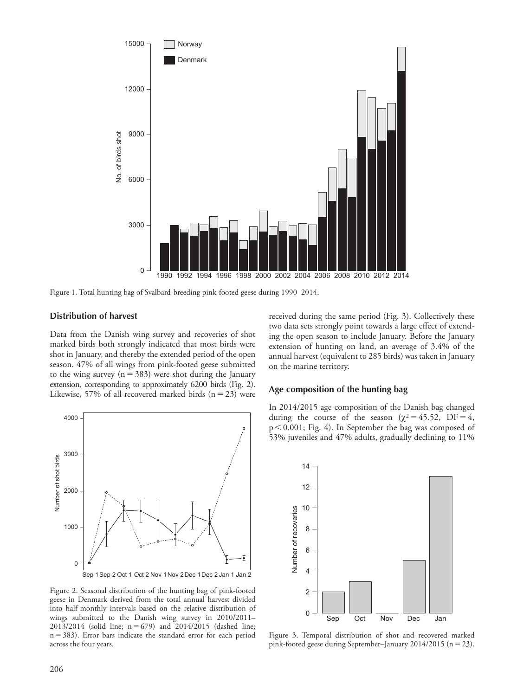

Figure 1. Total hunting bag of Svalbard-breeding pink-footed geese during 1990–2014.

#### **Distribution of harvest**

Data from the Danish wing survey and recoveries of shot marked birds both strongly indicated that most birds were shot in January, and thereby the extended period of the open season. 47% of all wings from pink-footed geese submitted to the wing survey ( $n=383$ ) were shot during the January extension, corresponding to approximately 6200 birds (Fig. 2). Likewise, 57% of all recovered marked birds  $(n=23)$  were



Figure 2. Seasonal distribution of the hunting bag of pink-footed geese in Denmark derived from the total annual harvest divided into half-monthly intervals based on the relative distribution of wings submitted to the Danish wing survey in 2010/2011–  $2013/2014$  (solid line;  $n = 679$ ) and  $2014/2015$  (dashed line;  $n=383$ ). Error bars indicate the standard error for each period across the four years.

received during the same period (Fig. 3). Collectively these two data sets strongly point towards a large effect of extending the open season to include January. Before the January extension of hunting on land, an average of 3.4% of the annual harvest (equivalent to 285 birds) was taken in January on the marine territory.

#### **Age composition of the hunting bag**

In 2014/2015 age composition of the Danish bag changed during the course of the season ( $\chi^2$  = 45.52, DF = 4,  $p<0.001$ ; Fig. 4). In September the bag was composed of 53% juveniles and 47% adults, gradually declining to 11%



Figure 3. Temporal distribution of shot and recovered marked pink-footed geese during September–January 2014/2015 (n = 23).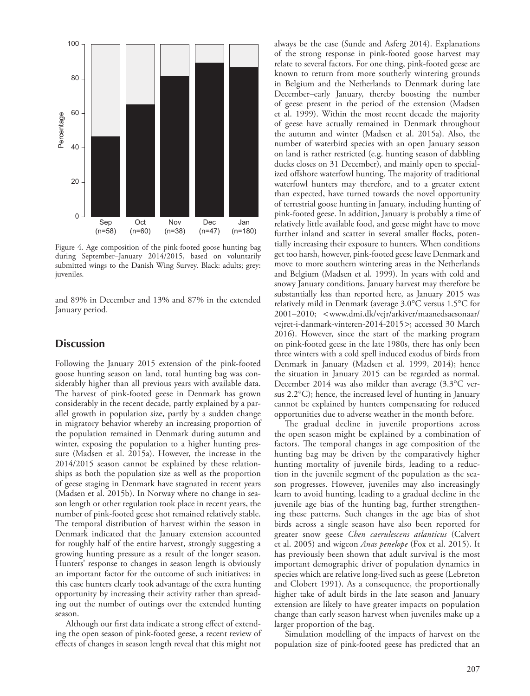

Figure 4. Age composition of the pink-footed goose hunting bag during September–January 2014/2015, based on voluntarily submitted wings to the Danish Wing Survey. Black: adults; grey: juveniles.

and 89% in December and 13% and 87% in the extended January period.

### **Discussion**

Following the January 2015 extension of the pink-footed goose hunting season on land, total hunting bag was considerably higher than all previous years with available data. The harvest of pink-footed geese in Denmark has grown considerably in the recent decade, partly explained by a parallel growth in population size, partly by a sudden change in migratory behavior whereby an increasing proportion of the population remained in Denmark during autumn and winter, exposing the population to a higher hunting pressure (Madsen et al. 2015a). However, the increase in the 2014/2015 season cannot be explained by these relationships as both the population size as well as the proportion of geese staging in Denmark have stagnated in recent years (Madsen et al. 2015b). In Norway where no change in season length or other regulation took place in recent years, the number of pink-footed geese shot remained relatively stable. The temporal distribution of harvest within the season in Denmark indicated that the January extension accounted for roughly half of the entire harvest, strongly suggesting a growing hunting pressure as a result of the longer season. Hunters' response to changes in season length is obviously an important factor for the outcome of such initiatives; in this case hunters clearly took advantage of the extra hunting opportunity by increasing their activity rather than spreading out the number of outings over the extended hunting season.

Although our first data indicate a strong effect of extending the open season of pink-footed geese, a recent review of effects of changes in season length reveal that this might not always be the case (Sunde and Asferg 2014). Explanations of the strong response in pink-footed goose harvest may relate to several factors. For one thing, pink-footed geese are known to return from more southerly wintering grounds in Belgium and the Netherlands to Denmark during late December–early January, thereby boosting the number of geese present in the period of the extension (Madsen et al. 1999). Within the most recent decade the majority of geese have actually remained in Denmark throughout the autumn and winter (Madsen et al. 2015a). Also, the number of waterbird species with an open January season on land is rather restricted (e.g. hunting season of dabbling ducks closes on 31 December), and mainly open to specialized offshore waterfowl hunting. The majority of traditional waterfowl hunters may therefore, and to a greater extent than expected, have turned towards the novel opportunity of terrestrial goose hunting in January, including hunting of pink-footed geese. In addition, January is probably a time of relatively little available food, and geese might have to move further inland and scatter in several smaller flocks, potentially increasing their exposure to hunters. When conditions get too harsh, however, pink-footed geese leave Denmark and move to more southern wintering areas in the Netherlands and Belgium (Madsen et al. 1999). In years with cold and snowy January conditions, January harvest may therefore be substantially less than reported here, as January 2015 was relatively mild in Denmark (average 3.0°C versus 1.5°C for 2001–2010; <www.dmi.dk/vejr/arkiver/maanedsaesonaar/ vejret-i-danmark-vinteren-2014-2015>; accessed 30 March 2016). However, since the start of the marking program on pink-footed geese in the late 1980s, there has only been three winters with a cold spell induced exodus of birds from Denmark in January (Madsen et al. 1999, 2014); hence the situation in January 2015 can be regarded as normal. December 2014 was also milder than average (3.3°C versus 2.2°C); hence, the increased level of hunting in January cannot be explained by hunters compensating for reduced opportunities due to adverse weather in the month before.

The gradual decline in juvenile proportions across the open season might be explained by a combination of factors. The temporal changes in age composition of the hunting bag may be driven by the comparatively higher hunting mortality of juvenile birds, leading to a reduction in the juvenile segment of the population as the season progresses. However, juveniles may also increasingly learn to avoid hunting, leading to a gradual decline in the juvenile age bias of the hunting bag, further strengthening these patterns. Such changes in the age bias of shot birds across a single season have also been reported for greater snow geese *Chen caerulescens atlanticus* (Calvert et al. 2005) and wigeon *Anas penelope* (Fox et al. 2015). It has previously been shown that adult survival is the most important demographic driver of population dynamics in species which are relative long-lived such as geese (Lebreton and Clobert 1991). As a consequence, the proportionally higher take of adult birds in the late season and January extension are likely to have greater impacts on population change than early season harvest when juveniles make up a larger proportion of the bag.

Simulation modelling of the impacts of harvest on the population size of pink-footed geese has predicted that an